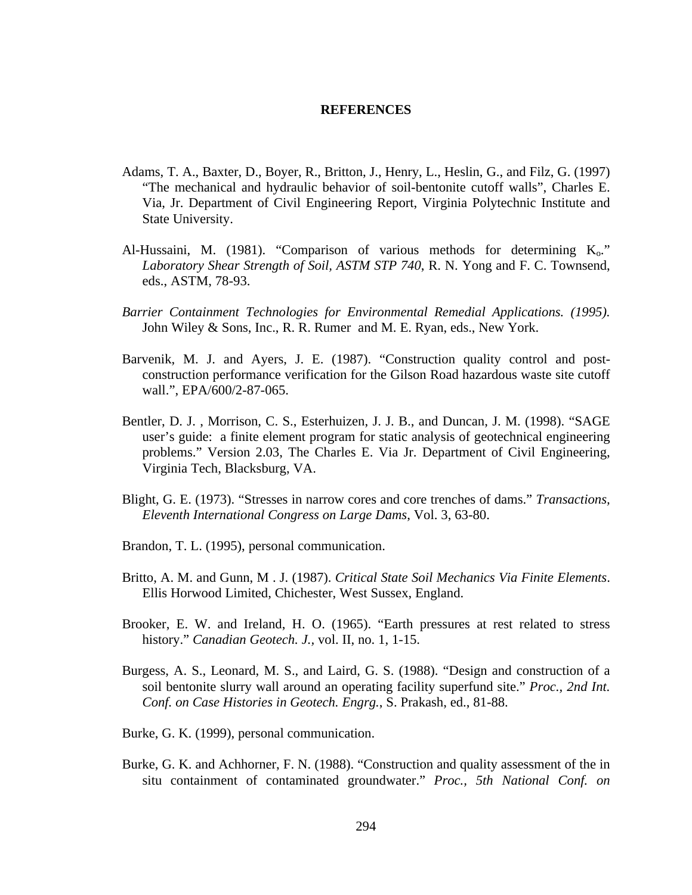## **REFERENCES**

- Adams, T. A., Baxter, D., Boyer, R., Britton, J., Henry, L., Heslin, G., and Filz, G. (1997) "The mechanical and hydraulic behavior of soil-bentonite cutoff walls", Charles E. Via, Jr. Department of Civil Engineering Report, Virginia Polytechnic Institute and State University.
- Al-Hussaini, M. (1981). "Comparison of various methods for determining  $K_0$ ." *Laboratory Shear Strength of Soil, ASTM STP 740*, R. N. Yong and F. C. Townsend, eds., ASTM, 78-93.
- *Barrier Containment Technologies for Environmental Remedial Applications. (1995).* John Wiley & Sons, Inc., R. R. Rumer and M. E. Ryan, eds., New York.
- Barvenik, M. J. and Ayers, J. E. (1987). "Construction quality control and postconstruction performance verification for the Gilson Road hazardous waste site cutoff wall.", EPA/600/2-87-065.
- Bentler, D. J. , Morrison, C. S., Esterhuizen, J. J. B., and Duncan, J. M. (1998). "SAGE user's guide: a finite element program for static analysis of geotechnical engineering problems." Version 2.03, The Charles E. Via Jr. Department of Civil Engineering, Virginia Tech, Blacksburg, VA.
- Blight, G. E. (1973). "Stresses in narrow cores and core trenches of dams." *Transactions, Eleventh International Congress on Large Dams*, Vol. 3, 63-80.
- Brandon, T. L. (1995), personal communication.
- Britto, A. M. and Gunn, M . J. (1987). *Critical State Soil Mechanics Via Finite Elements*. Ellis Horwood Limited, Chichester, West Sussex, England.
- Brooker, E. W. and Ireland, H. O. (1965). "Earth pressures at rest related to stress history." *Canadian Geotech. J.,* vol. II, no. 1, 1-15.
- Burgess, A. S., Leonard, M. S., and Laird, G. S. (1988). "Design and construction of a soil bentonite slurry wall around an operating facility superfund site." *Proc., 2nd Int. Conf. on Case Histories in Geotech. Engrg.*, S. Prakash, ed., 81-88.
- Burke, G. K. (1999), personal communication.
- Burke, G. K. and Achhorner, F. N. (1988). "Construction and quality assessment of the in situ containment of contaminated groundwater." *Proc., 5th National Conf. on*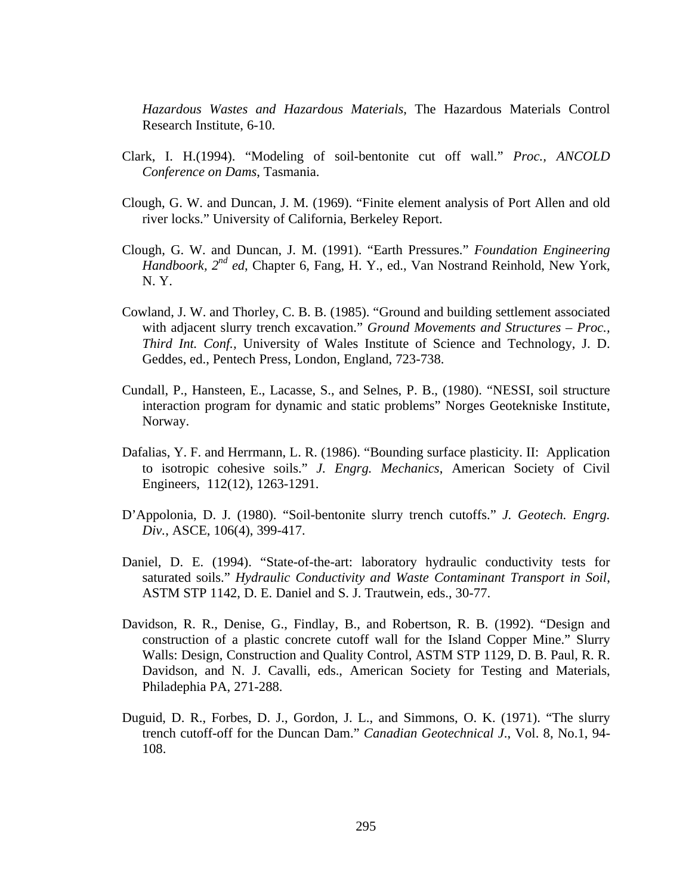*Hazardous Wastes and Hazardous Materials*, The Hazardous Materials Control Research Institute, 6-10.

- Clark, I. H.(1994). "Modeling of soil-bentonite cut off wall." *Proc., ANCOLD Conference on Dams*, Tasmania.
- Clough, G. W. and Duncan, J. M. (1969). "Finite element analysis of Port Allen and old river locks." University of California, Berkeley Report.
- Clough, G. W. and Duncan, J. M. (1991). "Earth Pressures." *Foundation Engineering Handboork, 2nd ed*, Chapter 6, Fang, H. Y., ed., Van Nostrand Reinhold, New York, N. Y.
- Cowland, J. W. and Thorley, C. B. B. (1985). "Ground and building settlement associated with adjacent slurry trench excavation." *Ground Movements and Structures – Proc., Third Int. Conf.,* University of Wales Institute of Science and Technology, J. D. Geddes, ed., Pentech Press, London, England, 723-738.
- Cundall, P., Hansteen, E., Lacasse, S., and Selnes, P. B., (1980). "NESSI, soil structure interaction program for dynamic and static problems" Norges Geotekniske Institute, Norway.
- Dafalias, Y. F. and Herrmann, L. R. (1986). "Bounding surface plasticity. II: Application to isotropic cohesive soils." *J. Engrg. Mechanics*, American Society of Civil Engineers, 112(12), 1263-1291.
- D'Appolonia, D. J. (1980). "Soil-bentonite slurry trench cutoffs." *J. Geotech. Engrg. Div.*, ASCE, 106(4), 399-417.
- Daniel, D. E. (1994). "State-of-the-art: laboratory hydraulic conductivity tests for saturated soils." *Hydraulic Conductivity and Waste Contaminant Transport in Soil*, ASTM STP 1142, D. E. Daniel and S. J. Trautwein, eds., 30-77.
- Davidson, R. R., Denise, G., Findlay, B., and Robertson, R. B. (1992). "Design and construction of a plastic concrete cutoff wall for the Island Copper Mine." Slurry Walls: Design, Construction and Quality Control, ASTM STP 1129, D. B. Paul, R. R. Davidson, and N. J. Cavalli, eds., American Society for Testing and Materials, Philadephia PA, 271-288.
- Duguid, D. R., Forbes, D. J., Gordon, J. L., and Simmons, O. K. (1971). "The slurry trench cutoff-off for the Duncan Dam." *Canadian Geotechnical J*., Vol. 8, No.1, 94- 108.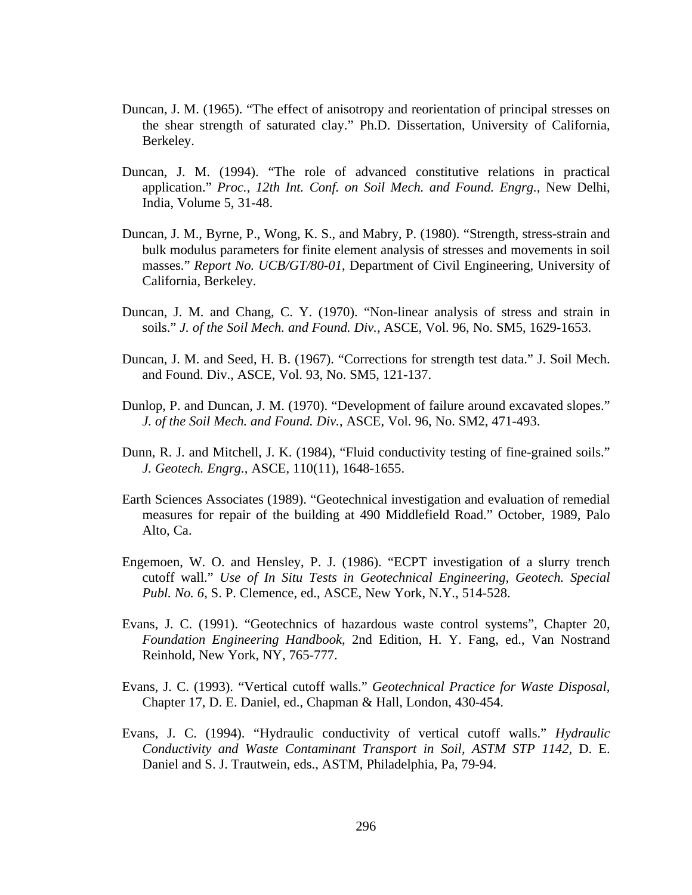- Duncan, J. M. (1965). "The effect of anisotropy and reorientation of principal stresses on the shear strength of saturated clay." Ph.D. Dissertation, University of California, Berkeley.
- Duncan, J. M. (1994). "The role of advanced constitutive relations in practical application." *Proc., 12th Int. Conf. on Soil Mech. and Found. Engrg.*, New Delhi, India, Volume 5, 31-48.
- Duncan, J. M., Byrne, P., Wong, K. S., and Mabry, P. (1980). "Strength, stress-strain and bulk modulus parameters for finite element analysis of stresses and movements in soil masses." *Report No. UCB/GT/80-01*, Department of Civil Engineering, University of California, Berkeley.
- Duncan, J. M. and Chang, C. Y. (1970). "Non-linear analysis of stress and strain in soils." *J. of the Soil Mech. and Found. Div.,* ASCE, Vol. 96, No. SM5, 1629-1653.
- Duncan, J. M. and Seed, H. B. (1967). "Corrections for strength test data." J. Soil Mech. and Found. Div., ASCE, Vol. 93, No. SM5, 121-137.
- Dunlop, P. and Duncan, J. M. (1970). "Development of failure around excavated slopes." *J. of the Soil Mech. and Found. Div.*, ASCE, Vol. 96, No. SM2, 471-493.
- Dunn, R. J. and Mitchell, J. K. (1984), "Fluid conductivity testing of fine-grained soils." *J. Geotech. Engrg.*, ASCE, 110(11), 1648-1655.
- Earth Sciences Associates (1989). "Geotechnical investigation and evaluation of remedial measures for repair of the building at 490 Middlefield Road." October, 1989, Palo Alto, Ca.
- Engemoen, W. O. and Hensley, P. J. (1986). "ECPT investigation of a slurry trench cutoff wall." *Use of In Situ Tests in Geotechnical Engineering, Geotech. Special Publ. No. 6*, S. P. Clemence, ed., ASCE, New York, N.Y., 514-528.
- Evans, J. C. (1991). "Geotechnics of hazardous waste control systems", Chapter 20, *Foundation Engineering Handbook*, 2nd Edition, H. Y. Fang, ed., Van Nostrand Reinhold, New York, NY, 765-777.
- Evans, J. C. (1993). "Vertical cutoff walls." *Geotechnical Practice for Waste Disposal*, Chapter 17, D. E. Daniel, ed., Chapman & Hall, London, 430-454.
- Evans, J. C. (1994). "Hydraulic conductivity of vertical cutoff walls." *Hydraulic Conductivity and Waste Contaminant Transport in Soil, ASTM STP 1142*, D. E. Daniel and S. J. Trautwein, eds., ASTM, Philadelphia, Pa, 79-94.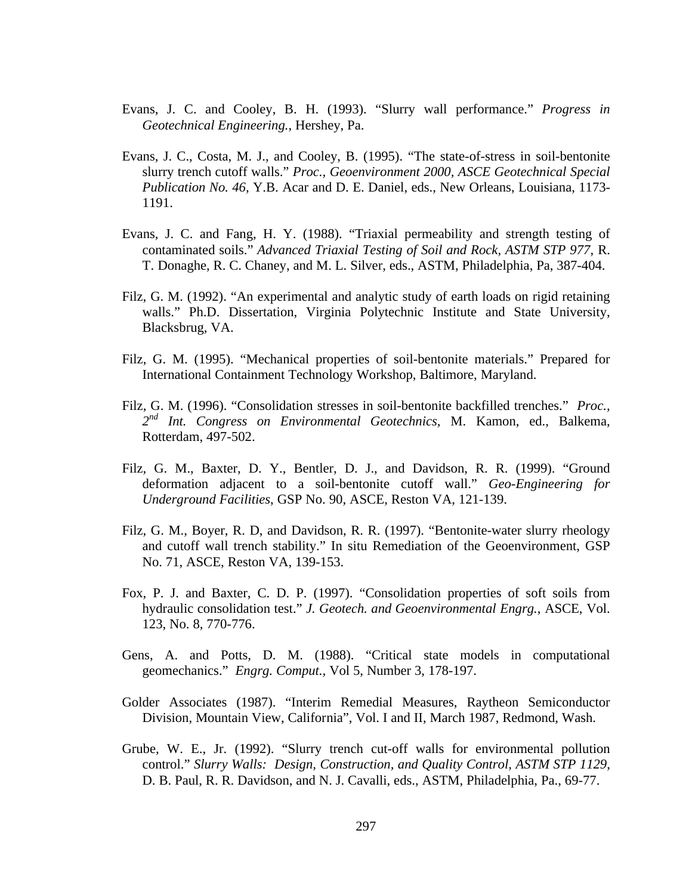- Evans, J. C. and Cooley, B. H. (1993). "Slurry wall performance." *Progress in Geotechnical Engineering.*, Hershey, Pa.
- Evans, J. C., Costa, M. J., and Cooley, B. (1995). "The state-of-stress in soil-bentonite slurry trench cutoff walls." *Proc., Geoenvironment 2000, ASCE Geotechnical Special Publication No. 46,* Y.B. Acar and D. E. Daniel, eds., New Orleans, Louisiana, 1173- 1191.
- Evans, J. C. and Fang, H. Y. (1988). "Triaxial permeability and strength testing of contaminated soils." *Advanced Triaxial Testing of Soil and Rock, ASTM STP 977*, R. T. Donaghe, R. C. Chaney, and M. L. Silver, eds., ASTM, Philadelphia, Pa, 387-404.
- Filz, G. M. (1992). "An experimental and analytic study of earth loads on rigid retaining walls." Ph.D. Dissertation, Virginia Polytechnic Institute and State University, Blacksbrug, VA.
- Filz, G. M. (1995). "Mechanical properties of soil-bentonite materials." Prepared for International Containment Technology Workshop, Baltimore, Maryland.
- Filz, G. M. (1996). "Consolidation stresses in soil-bentonite backfilled trenches." *Proc., 2 nd Int. Congress on Environmental Geotechnics,* M. Kamon, ed., Balkema, Rotterdam, 497-502.
- Filz, G. M., Baxter, D. Y., Bentler, D. J., and Davidson, R. R. (1999). "Ground deformation adjacent to a soil-bentonite cutoff wall." *Geo-Engineering for Underground Facilities*, GSP No. 90, ASCE, Reston VA, 121-139.
- Filz, G. M., Boyer, R. D, and Davidson, R. R. (1997). "Bentonite-water slurry rheology and cutoff wall trench stability." In situ Remediation of the Geoenvironment, GSP No. 71, ASCE, Reston VA, 139-153.
- Fox, P. J. and Baxter, C. D. P. (1997). "Consolidation properties of soft soils from hydraulic consolidation test." *J. Geotech. and Geoenvironmental Engrg.*, ASCE, Vol. 123, No. 8, 770-776.
- Gens, A. and Potts, D. M. (1988). "Critical state models in computational geomechanics." *Engrg. Comput.,* Vol 5, Number 3, 178-197.
- Golder Associates (1987). "Interim Remedial Measures, Raytheon Semiconductor Division, Mountain View, California", Vol. I and II, March 1987, Redmond, Wash.
- Grube, W. E., Jr. (1992). "Slurry trench cut-off walls for environmental pollution control." *Slurry Walls: Design, Construction, and Quality Control, ASTM STP 1129*, D. B. Paul, R. R. Davidson, and N. J. Cavalli, eds., ASTM, Philadelphia, Pa., 69-77.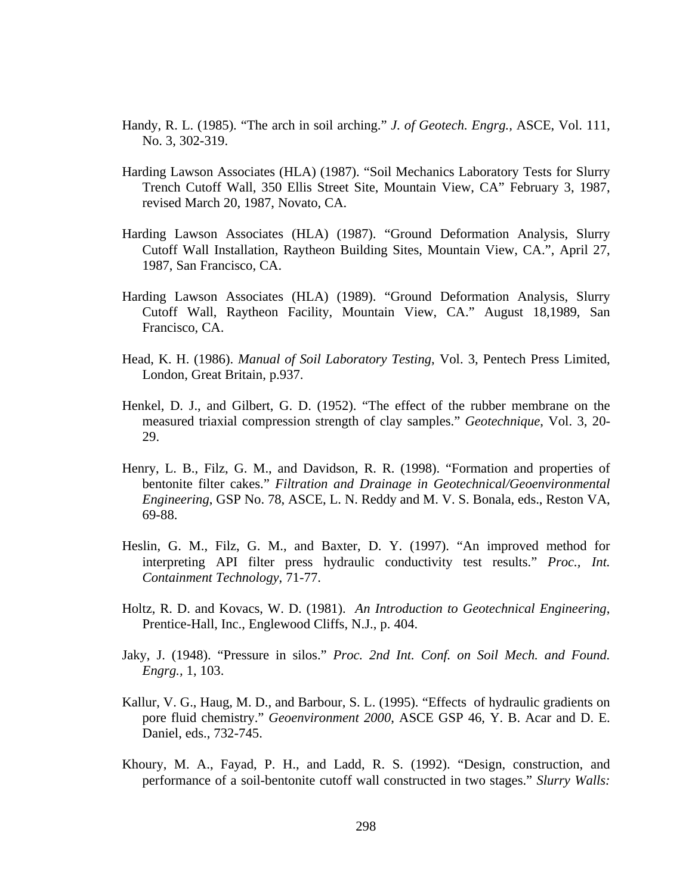- Handy, R. L. (1985). "The arch in soil arching." *J. of Geotech. Engrg.,* ASCE, Vol. 111, No. 3, 302-319.
- Harding Lawson Associates (HLA) (1987). "Soil Mechanics Laboratory Tests for Slurry Trench Cutoff Wall, 350 Ellis Street Site, Mountain View, CA" February 3, 1987, revised March 20, 1987, Novato, CA.
- Harding Lawson Associates (HLA) (1987). "Ground Deformation Analysis, Slurry Cutoff Wall Installation, Raytheon Building Sites, Mountain View, CA.", April 27, 1987, San Francisco, CA.
- Harding Lawson Associates (HLA) (1989). "Ground Deformation Analysis, Slurry Cutoff Wall, Raytheon Facility, Mountain View, CA." August 18,1989, San Francisco, CA.
- Head, K. H. (1986). *Manual of Soil Laboratory Testing*, Vol. 3, Pentech Press Limited, London, Great Britain, p.937.
- Henkel, D. J., and Gilbert, G. D. (1952). "The effect of the rubber membrane on the measured triaxial compression strength of clay samples." *Geotechnique*, Vol. 3, 20- 29.
- Henry, L. B., Filz, G. M., and Davidson, R. R. (1998). "Formation and properties of bentonite filter cakes." *Filtration and Drainage in Geotechnical/Geoenvironmental Engineering*, GSP No. 78, ASCE, L. N. Reddy and M. V. S. Bonala, eds., Reston VA, 69-88.
- Heslin, G. M., Filz, G. M., and Baxter, D. Y. (1997). "An improved method for interpreting API filter press hydraulic conductivity test results." *Proc., Int. Containment Technology*, 71-77.
- Holtz, R. D. and Kovacs, W. D. (1981). *An Introduction to Geotechnical Engineering*, Prentice-Hall, Inc., Englewood Cliffs, N.J., p. 404.
- Jaky, J. (1948). "Pressure in silos." *Proc. 2nd Int. Conf. on Soil Mech. and Found. Engrg.,* 1, 103.
- Kallur, V. G., Haug, M. D., and Barbour, S. L. (1995). "Effects of hydraulic gradients on pore fluid chemistry." *Geoenvironment 2000*, ASCE GSP 46, Y. B. Acar and D. E. Daniel, eds., 732-745.
- Khoury, M. A., Fayad, P. H., and Ladd, R. S. (1992). "Design, construction, and performance of a soil-bentonite cutoff wall constructed in two stages." *Slurry Walls:*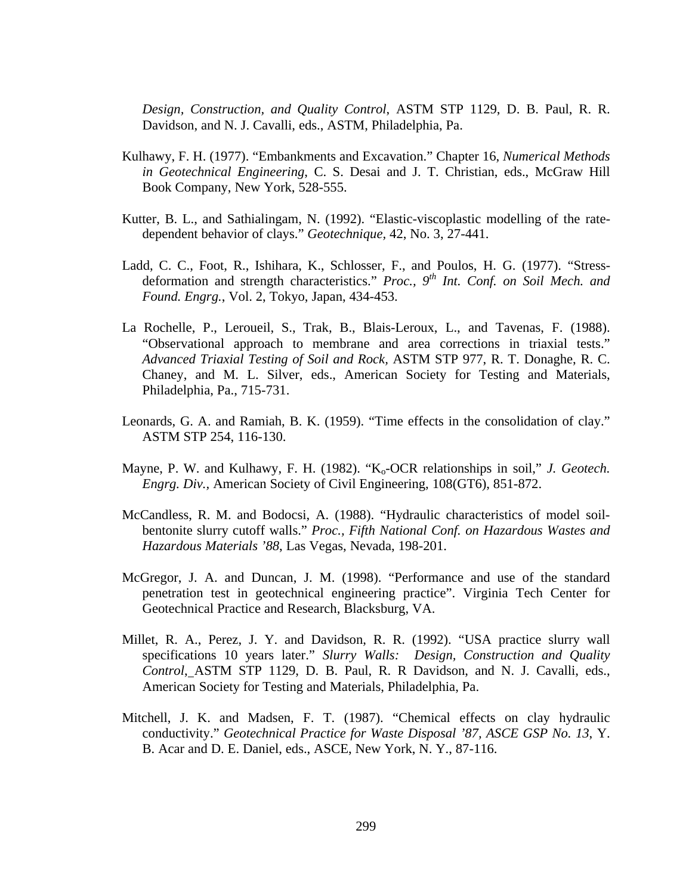*Design, Construction, and Quality Control*, ASTM STP 1129, D. B. Paul, R. R. Davidson, and N. J. Cavalli, eds., ASTM, Philadelphia, Pa.

- Kulhawy, F. H. (1977). "Embankments and Excavation." Chapter 16, *Numerical Methods in Geotechnical Engineering*, C. S. Desai and J. T. Christian, eds., McGraw Hill Book Company, New York, 528-555.
- Kutter, B. L., and Sathialingam, N. (1992). "Elastic-viscoplastic modelling of the ratedependent behavior of clays." *Geotechnique,* 42, No. 3, 27-441.
- Ladd, C. C., Foot, R., Ishihara, K., Schlosser, F., and Poulos, H. G. (1977). "Stressdeformation and strength characteristics." *Proc., 9th Int. Conf. on Soil Mech. and Found. Engrg.*, Vol. 2, Tokyo, Japan, 434-453.
- La Rochelle, P., Leroueil, S., Trak, B., Blais-Leroux, L., and Tavenas, F. (1988). "Observational approach to membrane and area corrections in triaxial tests." *Advanced Triaxial Testing of Soil and Rock,* ASTM STP 977, R. T. Donaghe, R. C. Chaney, and M. L. Silver, eds., American Society for Testing and Materials, Philadelphia, Pa., 715-731.
- Leonards, G. A. and Ramiah, B. K. (1959). "Time effects in the consolidation of clay." ASTM STP 254, 116-130.
- Mayne, P. W. and Kulhawy, F. H. (1982). "K<sub>o</sub>-OCR relationships in soil," *J. Geotech. Engrg. Div.,* American Society of Civil Engineering, 108(GT6), 851-872.
- McCandless, R. M. and Bodocsi, A. (1988). "Hydraulic characteristics of model soilbentonite slurry cutoff walls." *Proc., Fifth National Conf. on Hazardous Wastes and Hazardous Materials '88*, Las Vegas, Nevada, 198-201.
- McGregor, J. A. and Duncan, J. M. (1998). "Performance and use of the standard penetration test in geotechnical engineering practice". Virginia Tech Center for Geotechnical Practice and Research, Blacksburg, VA.
- Millet, R. A., Perez, J. Y. and Davidson, R. R. (1992). "USA practice slurry wall specifications 10 years later." *Slurry Walls: Design, Construction and Quality Control*, ASTM STP 1129, D. B. Paul, R. R Davidson, and N. J. Cavalli, eds., American Society for Testing and Materials, Philadelphia, Pa.
- Mitchell, J. K. and Madsen, F. T. (1987). "Chemical effects on clay hydraulic conductivity." *Geotechnical Practice for Waste Disposal '87, ASCE GSP No. 13*, Y. B. Acar and D. E. Daniel, eds., ASCE, New York, N. Y., 87-116.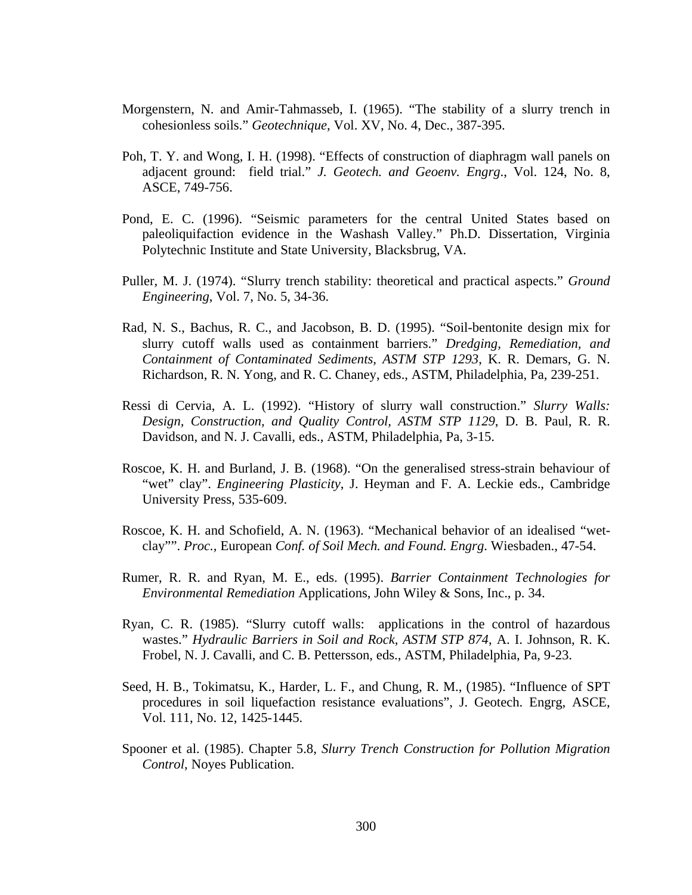- Morgenstern, N. and Amir-Tahmasseb, I. (1965). "The stability of a slurry trench in cohesionless soils." *Geotechnique*, Vol. XV, No. 4, Dec., 387-395.
- Poh, T. Y. and Wong, I. H. (1998). "Effects of construction of diaphragm wall panels on adjacent ground: field trial." *J. Geotech. and Geoenv. Engrg*., Vol. 124, No. 8, ASCE, 749-756.
- Pond, E. C. (1996). "Seismic parameters for the central United States based on paleoliquifaction evidence in the Washash Valley." Ph.D. Dissertation, Virginia Polytechnic Institute and State University, Blacksbrug, VA.
- Puller, M. J. (1974). "Slurry trench stability: theoretical and practical aspects." *Ground Engineering*, Vol. 7, No. 5, 34-36.
- Rad, N. S., Bachus, R. C., and Jacobson, B. D. (1995). "Soil-bentonite design mix for slurry cutoff walls used as containment barriers." *Dredging, Remediation, and Containment of Contaminated Sediments, ASTM STP 1293*, K. R. Demars, G. N. Richardson, R. N. Yong, and R. C. Chaney, eds., ASTM, Philadelphia, Pa, 239-251.
- Ressi di Cervia, A. L. (1992). "History of slurry wall construction." *Slurry Walls: Design, Construction, and Quality Control, ASTM STP 1129*, D. B. Paul, R. R. Davidson, and N. J. Cavalli, eds., ASTM, Philadelphia, Pa, 3-15.
- Roscoe, K. H. and Burland, J. B. (1968). "On the generalised stress-strain behaviour of "wet" clay". *Engineering Plasticity*, J. Heyman and F. A. Leckie eds., Cambridge University Press, 535-609.
- Roscoe, K. H. and Schofield, A. N. (1963). "Mechanical behavior of an idealised "wetclay"". *Proc.,* European *Conf. of Soil Mech. and Found. Engrg*. Wiesbaden., 47-54.
- Rumer, R. R. and Ryan, M. E., eds. (1995). *Barrier Containment Technologies for Environmental Remediation* Applications, John Wiley & Sons, Inc., p. 34.
- Ryan, C. R. (1985). "Slurry cutoff walls: applications in the control of hazardous wastes." *Hydraulic Barriers in Soil and Rock, ASTM STP 874*, A. I. Johnson, R. K. Frobel, N. J. Cavalli, and C. B. Pettersson, eds., ASTM, Philadelphia, Pa, 9-23.
- Seed, H. B., Tokimatsu, K., Harder, L. F., and Chung, R. M., (1985). "Influence of SPT procedures in soil liquefaction resistance evaluations", J. Geotech. Engrg, ASCE, Vol. 111, No. 12, 1425-1445.
- Spooner et al. (1985). Chapter 5.8, *Slurry Trench Construction for Pollution Migration Control*, Noyes Publication.